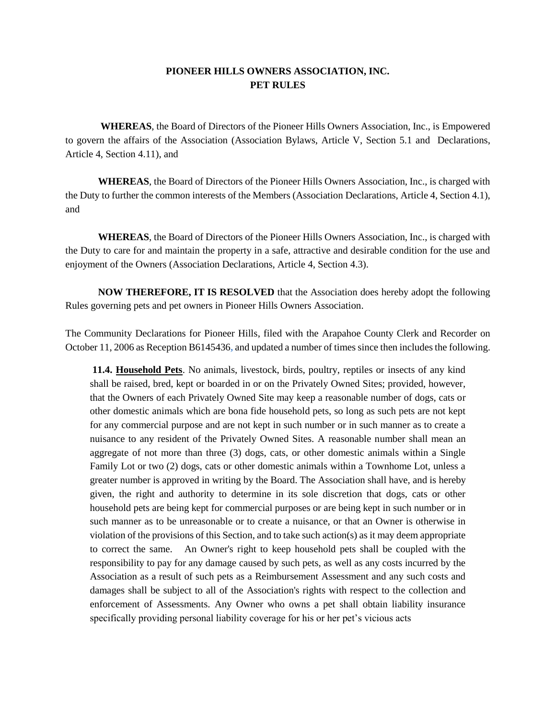## **PIONEER HILLS OWNERS ASSOCIATION, INC. PET RULES**

**WHEREAS**, the Board of Directors of the Pioneer Hills Owners Association, Inc., is Empowered to govern the affairs of the Association (Association Bylaws, Article V, Section 5.1 and Declarations, Article 4, Section 4.11), and

**WHEREAS**, the Board of Directors of the Pioneer Hills Owners Association, Inc., is charged with the Duty to further the common interests of the Members (Association Declarations, Article 4, Section 4.1), and

**WHEREAS**, the Board of Directors of the Pioneer Hills Owners Association, Inc., is charged with the Duty to care for and maintain the property in a safe, attractive and desirable condition for the use and enjoyment of the Owners (Association Declarations, Article 4, Section 4.3).

**NOW THEREFORE, IT IS RESOLVED** that the Association does hereby adopt the following Rules governing pets and pet owners in Pioneer Hills Owners Association.

The Community Declarations for Pioneer Hills, filed with the Arapahoe County Clerk and Recorder on October 11, 2006 as Reception B6145436**,** and updated a number of times since then includes the following.

**11.4. Household Pets**. No animals, livestock, birds, poultry, reptiles or insects of any kind shall be raised, bred, kept or boarded in or on the Privately Owned Sites; provided, however, that the Owners of each Privately Owned Site may keep a reasonable number of dogs, cats or other domestic animals which are bona fide household pets, so long as such pets are not kept for any commercial purpose and are not kept in such number or in such manner as to create a nuisance to any resident of the Privately Owned Sites. A reasonable number shall mean an aggregate of not more than three (3) dogs, cats, or other domestic animals within a Single Family Lot or two (2) dogs, cats or other domestic animals within a Townhome Lot, unless a greater number is approved in writing by the Board. The Association shall have, and is hereby given, the right and authority to determine in its sole discretion that dogs, cats or other household pets are being kept for commercial purposes or are being kept in such number or in such manner as to be unreasonable or to create a nuisance, or that an Owner is otherwise in violation of the provisions of this Section, and to take such action( $s$ ) as it may deem appropriate to correct the same. An Owner's right to keep household pets shall be coupled with the responsibility to pay for any damage caused by such pets, as well as any costs incurred by the Association as a result of such pets as a Reimbursement Assessment and any such costs and damages shall be subject to all of the Association's rights with respect to the collection and enforcement of Assessments. Any Owner who owns a pet shall obtain liability insurance specifically providing personal liability coverage for his or her pet's vicious acts